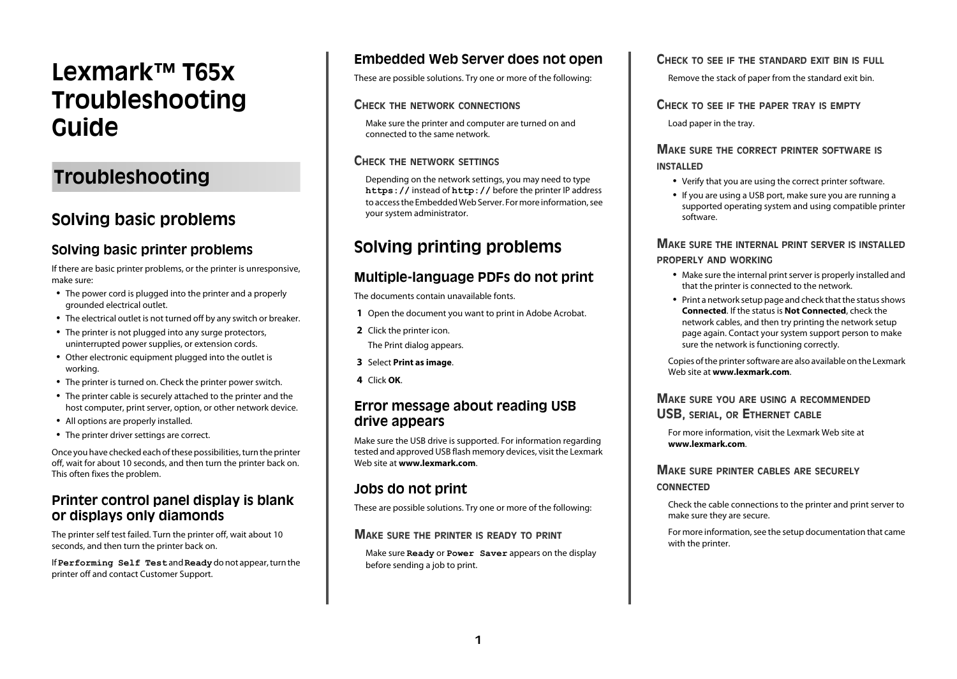# **Lexmark™ T65x Troubleshooting Guide**

# **Troubleshooting**

# **Solving basic problems**

# **Solving basic printer problems**

If there are basic printer problems, or the printer is unresponsive, make sure:

- **•** The power cord is plugged into the printer and a properly grounded electrical outlet.
- **•** The electrical outlet is not turned off by any switch or breaker.
- **•** The printer is not plugged into any surge protectors, uninterrupted power supplies, or extension cords.
- **•** Other electronic equipment plugged into the outlet is working.
- **•** The printer is turned on. Check the printer power switch.
- **•** The printer cable is securely attached to the printer and the host computer, print server, option, or other network device.
- **•** All options are properly installed.
- **•** The printer driver settings are correct.

Once you have checked each of these possibilities, turn the printer off, wait for about 10 seconds, and then turn the printer back on. This often fixes the problem.

# **Printer control panel display is blank or displays only diamonds**

The printer self test failed. Turn the printer off, wait about 10 seconds, and then turn the printer back on.

If **Performing Self Test** and **Ready** do not appear, turn the printer off and contact Customer Support.

# **Embedded Web Server does not open**

These are possible solutions. Try one or more of the following:

#### **CHECK THE NETWORK CONNECTIONS**

Make sure the printer and computer are turned on and connected to the same network.

#### **CHECK THE NETWORK SETTINGS**

Depending on the network settings, you may need to type **https://** instead of **http://** before the printer IP address to access the Embedded Web Server. For more information, see your system administrator.

# **Solving printing problems**

# **Multiple-language PDFs do not print**

The documents contain unavailable fonts.

- **1** Open the document you want to print in Adobe Acrobat.
- **2** Click the printer icon. The Print dialog appears.
- **3** Select **Print as image**.
- **4** Click **OK**.

## **Error message about reading USB drive appears**

Make sure the USB drive is supported. For information regarding tested and approved USB flash memory devices, visit the Lexmark Web site at **[www.lexmark.com](http://www.lexmark.com)**.

# **Jobs do not print**

These are possible solutions. Try one or more of the following:

#### **MAKE SURE THE PRINTER IS READY TO PRINT**

Make sure **Ready** or **Power Saver** appears on the display before sending a job to print.

#### **CHECK TO SEE IF THE STANDARD EXIT BIN IS FULL**

Remove the stack of paper from the standard exit bin.

#### **CHECK TO SEE IF THE PAPER TRAY IS EMPTY**

Load paper in the tray.

#### **MAKE SURE THE CORRECT PRINTER SOFTWARE IS INSTALLED**

- **•** Verify that you are using the correct printer software.
- **•** If you are using a USB port, make sure you are running a supported operating system and using compatible printer software.

### **MAKE SURE THE INTERNAL PRINT SERVER IS INSTALLED**

#### **PROPERLY AND WORKING**

- **•** Make sure the internal print server is properly installed and that the printer is connected to the network.
- **•** Print a network setup page and check that the status shows **Connected**. If the status is **Not Connected**, check the network cables, and then try printing the network setup page again. Contact your system support person to make sure the network is functioning correctly.

Copies of the printer software are also available on the Lexmark Web site at **[www.lexmark.com](http://www.lexmark.com)**.

#### **MAKE SURE YOU ARE USING A RECOMMENDED USB, SERIAL, OR ETHERNET CABLE**

For more information, visit the Lexmark Web site at **[www.lexmark.com](http://www.lexmark.com)**.

### **MAKE SURE PRINTER CABLES ARE SECURELY CONNECTED**

Check the cable connections to the printer and print server to make sure they are secure.

For more information, see the setup documentation that came with the printer.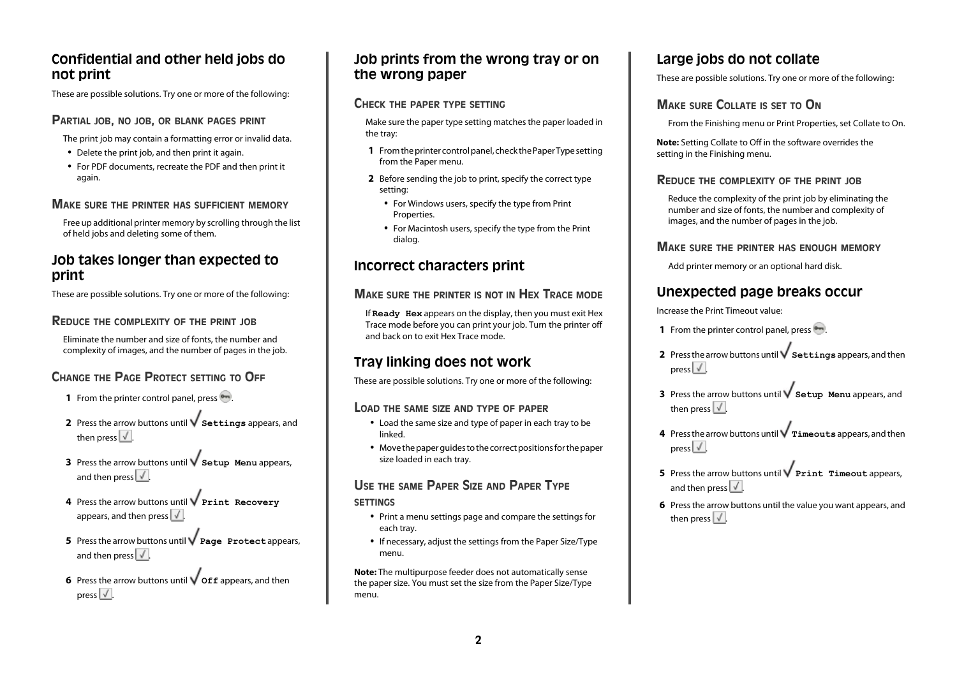# **Confidential and other held jobs do not print**

These are possible solutions. Try one or more of the following:

#### **PARTIAL JOB, NO JOB, OR BLANK PAGES PRINT**

The print job may contain a formatting error or invalid data.

- **•** Delete the print job, and then print it again.
- **•** For PDF documents, recreate the PDF and then print it again.

#### **MAKE SURE THE PRINTER HAS SUFFICIENT MEMORY**

Free up additional printer memory by scrolling through the list of held jobs and deleting some of them.

### **Job takes longer than expected to print**

These are possible solutions. Try one or more of the following:

#### **REDUCE THE COMPLEXITY OF THE PRINT JOB**

Eliminate the number and size of fonts, the number and complexity of images, and the number of pages in the job.

## **CHANGE THE PAGE PROTECT SETTING TO OFF**

**1** From the printer control panel, press ...

- **2** Press the arrow buttons until **Settings** appears, and then press  $\sqrt{\ }$ .
- **3** Press the arrow buttons until **V** Setup Menu appears, and then press  $\mathcal{V}$ .

**4** Press the arrow buttons until **V** Print Recovery appears, and then press  $\sqrt{2}$ .

- **5** Press the arrow buttons until **V** Page Protect appears, and then press  $\sqrt{\phantom{a}}$
- **6** Press the arrow buttons until **Off** appears, and then  $pres \, | \sqrt{\ } |$

# **Job prints from the wrong tray or on the wrong paper**

#### **CHECK THE PAPER TYPE SETTING**

Make sure the paper type setting matches the paper loaded in the tray:

- **1** From the printer control panel, check the Paper Type setting from the Paper menu.
- **2** Before sending the job to print, specify the correct type setting:
	- **•** For Windows users, specify the type from Print Properties.
	- **•** For Macintosh users, specify the type from the Print dialog.

# **Incorrect characters print**

#### **MAKE SURE THE PRINTER IS NOT IN HEX TRACE MODE**

If **Ready Hex** appears on the display, then you must exit Hex Trace mode before you can print your job. Turn the printer off and back on to exit Hex Trace mode.

# **Tray linking does not work**

These are possible solutions. Try one or more of the following:

#### **LOAD THE SAME SIZE AND TYPE OF PAPER**

- **•** Load the same size and type of paper in each tray to be linked.
- **•** Move the paper guides to the correct positions for the paper size loaded in each tray.

# **USE THE SAME PAPER SIZE AND PAPER TYPE**

#### **SETTINGS**

- **•** Print a menu settings page and compare the settings for each tray.
- **•** If necessary, adjust the settings from the Paper Size/Type menu.

**Note:** The multipurpose feeder does not automatically sense the paper size. You must set the size from the Paper Size/Type menu.

# **Large jobs do not collate**

These are possible solutions. Try one or more of the following:

# **MAKE SURE COLLATE IS SET TO O<sup>N</sup>**

From the Finishing menu or Print Properties, set Collate to On.

**Note:** Setting Collate to Off in the software overrides the setting in the Finishing menu.

#### **REDUCE THE COMPLEXITY OF THE PRINT JOB**

Reduce the complexity of the print job by eliminating the number and size of fonts, the number and complexity of images, and the number of pages in the job.

#### **MAKE SURE THE PRINTER HAS ENOUGH MEMORY**

Add printer memory or an optional hard disk.

# **Unexpected page breaks occur**

Increase the Print Timeout value:

**1** From the printer control panel, press ...

- **2** Press the arrow buttons until **Settings** appears, and then press  $\sqrt{\sqrt{2}}$
- **3** Press the arrow buttons until **V Setup Menu** appears, and then press  $\sqrt{\sqrt{2}}$
- **4** Press the arrow buttons until  $\sqrt{\frac{1}{T}}$  **Timeouts** appears, and then press  $\sqrt{\ }$ .
- **5** Press the arrow buttons until **V** Print Timeout appears, and then press  $\sqrt{\phantom{a}}$ .
- **6** Press the arrow buttons until the value you want appears, and then press  $\sqrt{\phantom{a}}$ .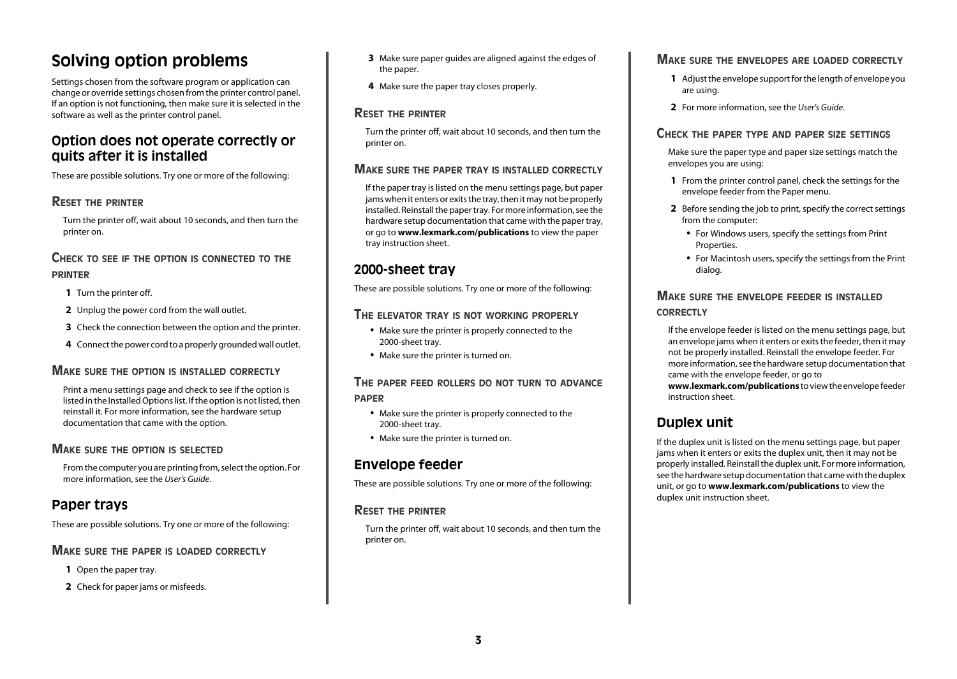# **Solving option problems**

Settings chosen from the software program or application can change or override settings chosen from the printer control panel. If an option is not functioning, then make sure it is selected in the software as well as the printer control panel.

# **Option does not operate correctly or quits after it is installed**

These are possible solutions. Try one or more of the following:

#### **RESET THE PRINTER**

Turn the printer off, wait about 10 seconds, and then turn the printer on.

#### **CHECK TO SEE IF THE OPTION IS CONNECTED TO THE PRINTER**

- **1** Turn the printer off.
- **2** Unplug the power cord from the wall outlet.
- **3** Check the connection between the option and the printer.
- **4** Connect the power cord to a properly grounded wall outlet.

#### **MAKE SURE THE OPTION IS INSTALLED CORRECTLY**

Print a menu settings page and check to see if the option is listed in the Installed Options list. If the option is not listed, then reinstall it. For more information, see the hardware setup documentation that came with the option.

#### **MAKE SURE THE OPTION IS SELECTED**

From the computer you are printing from, select the option. For more information, see the *User's Guide*.

## **Paper trays**

These are possible solutions. Try one or more of the following:

#### **MAKE SURE THE PAPER IS LOADED CORRECTLY**

- **1** Open the paper tray.
- **2** Check for paper jams or misfeeds.
- **3** Make sure paper guides are aligned against the edges of the paper.
- **4** Make sure the paper tray closes properly.

#### **RESET THE PRINTER**

Turn the printer off, wait about 10 seconds, and then turn the printer on.

#### **MAKE SURE THE PAPER TRAY IS INSTALLED CORRECTLY**

If the paper tray is listed on the menu settings page, but paper jams when it enters or exits the tray, then it may not be properly installed. Reinstall the paper tray. For more information, see the hardware setup documentation that came with the paper tray, or go to **[www.lexmark.com/publications](http://www.lexmark.com/publications)** to view the paper tray instruction sheet.

# **2000-sheet tray**

These are possible solutions. Try one or more of the following:

#### **THE ELEVATOR TRAY IS NOT WORKING PROPERLY**

- **•** Make sure the printer is properly connected to the 2000-sheet tray.
- **•** Make sure the printer is turned on.

#### **THE PAPER FEED ROLLERS DO NOT TURN TO ADVANCE PAPER**

- **•** Make sure the printer is properly connected to the 2000-sheet tray.
- **•** Make sure the printer is turned on.

# **Envelope feeder**

These are possible solutions. Try one or more of the following:

#### **RESET THE PRINTER**

Turn the printer off, wait about 10 seconds, and then turn the printer on.

#### **MAKE SURE THE ENVELOPES ARE LOADED CORRECTLY**

- **1** Adjust the envelope support for the length of envelope you are using.
- **2** For more information, see the *User's Guide*.

#### **CHECK THE PAPER TYPE AND PAPER SIZE SETTINGS**

Make sure the paper type and paper size settings match the envelopes you are using:

- **1** From the printer control panel, check the settings for the envelope feeder from the Paper menu.
- **2** Before sending the job to print, specify the correct settings from the computer:
	- **•** For Windows users, specify the settings from Print Properties.
	- **•** For Macintosh users, specify the settings from the Print dialog.

#### **MAKE SURE THE ENVELOPE FEEDER IS INSTALLED CORRECTLY**

If the envelope feeder is listed on the menu settings page, but an envelope jams when it enters or exits the feeder, then it may not be properly installed. Reinstall the envelope feeder. For more information, see the hardware setup documentation that came with the envelope feeder, or go to

**[www.lexmark.com/publications](http://www.lexmark.com/publications)** to view the envelope feeder instruction sheet.

# **Duplex unit**

If the duplex unit is listed on the menu settings page, but paper jams when it enters or exits the duplex unit, then it may not be properly installed. Reinstall the duplex unit. For more information, see the hardware setup documentation that came with the duplex unit, or go to **[www.lexmark.com/publications](http://www.lexmark.com/publications)** to view the duplex unit instruction sheet.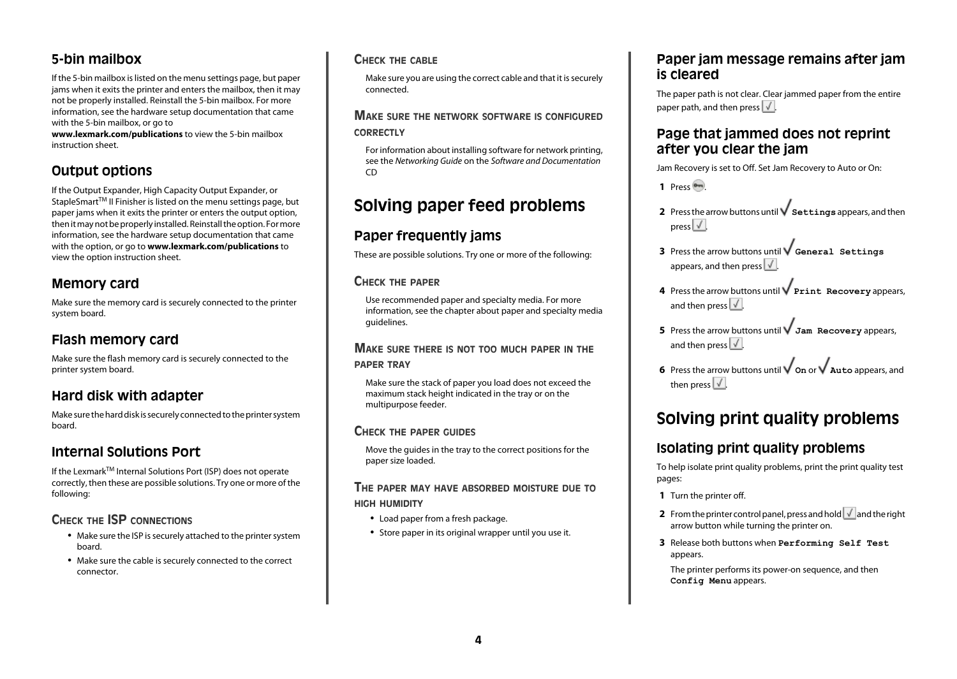# **5-bin mailbox**

If the 5-bin mailbox is listed on the menu settings page, but paper jams when it exits the printer and enters the mailbox, then it may not be properly installed. Reinstall the 5-bin mailbox. For more information, see the hardware setup documentation that came with the 5-bin mailbox, or go to

**[www.lexmark.com/publications](http://www.lexmark.com/publications)** to view the 5-bin mailbox instruction sheet.

# **Output options**

If the Output Expander, High Capacity Output Expander, or StapleSmart™ II Finisher is listed on the menu settings page, but paper jams when it exits the printer or enters the output option, then it may not be properly installed. Reinstall the option. For more information, see the hardware setup documentation that came with the option, or go to **[www.lexmark.com/publications](http://www.lexmark.com/publications)** to view the option instruction sheet.

# **Memory card**

Make sure the memory card is securely connected to the printer system board.

# **Flash memory card**

Make sure the flash memory card is securely connected to the printer system board.

# **Hard disk with adapter**

Make sure the hard disk is securely connected to the printer system board.

# **Internal Solutions Port**

If the LexmarkTM Internal Solutions Port (ISP) does not operate correctly, then these are possible solutions. Try one or more of the following:

### **CHECK THE ISP CONNECTIONS**

- **•** Make sure the ISP is securely attached to the printer system board.
- **•** Make sure the cable is securely connected to the correct connector.

### **CHECK THE CABLE**

Make sure you are using the correct cable and that it is securely connected.

#### **MAKE SURE THE NETWORK SOFTWARE IS CONFIGURED CORRECTLY**

For information about installing software for network printing, see the *Networking Guide* on the *Software and Documentation* CD

# **Solving paper feed problems**

# **Paper frequently jams**

These are possible solutions. Try one or more of the following:

#### **CHECK THE PAPER**

Use recommended paper and specialty media. For more information, see the chapter about paper and specialty media guidelines.

#### **MAKE SURE THERE IS NOT TOO MUCH PAPER IN THE PAPER TRAY**

Make sure the stack of paper you load does not exceed the maximum stack height indicated in the tray or on the multipurpose feeder.

#### **CHECK THE PAPER GUIDES**

Move the guides in the tray to the correct positions for the paper size loaded.

#### **THE PAPER MAY HAVE ABSORBED MOISTURE DUE TO HIGH HUMIDITY**

- **•** Load paper from a fresh package.
- **•** Store paper in its original wrapper until you use it.

## **Paper jam message remains after jam is cleared**

The paper path is not clear. Clear jammed paper from the entire paper path, and then press  $\sqrt{\phantom{a}}$ 

# **Page that jammed does not reprint after you clear the jam**

Jam Recovery is set to Off. Set Jam Recovery to Auto or On:

 $1$  Press  $\bullet$ .

- **2** Press the arrow buttons until **Settings** appears, and then press  $\sqrt{\ }$ .
- **3** Press the arrow buttons until **General Settings** appears, and then press  $\sqrt{2}$ .
- **4** Press the arrow buttons until **V** Print, Recovery appears, and then press  $\sqrt{\sqrt{2}}$ .
- **5** Press the arrow buttons until  $\sqrt{\text{Jam}$  Recovery appears, and then press  $\sqrt{\phantom{a}}$ .
- **6** Press the arrow buttons until **On** or **Auto** appears, and then press  $\sqrt{\ }$ .

# **Solving print quality problems**

# **Isolating print quality problems**

To help isolate print quality problems, print the print quality test pages:

- **1** Turn the printer off.
- **2** From the printer control panel, press and hold  $\sqrt{\ }$  and the right arrow button while turning the printer on.
- **3** Release both buttons when **Performing Self Test** appears.

The printer performs its power-on sequence, and then **Config Menu** appears.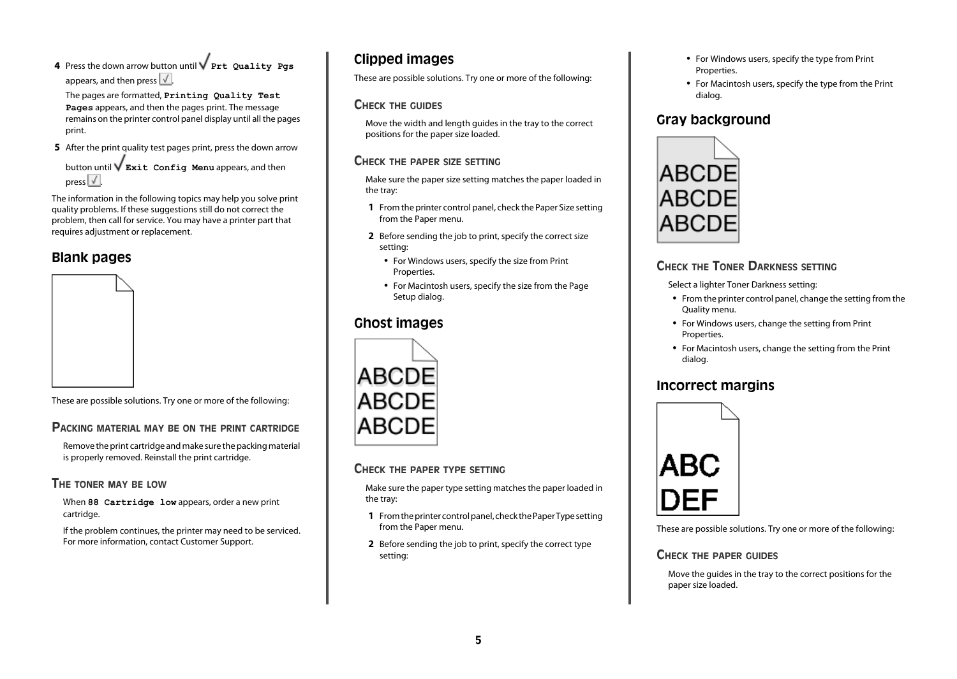**4** Press the down arrow button until **V** Prt Quality Pgs appears, and then press  $\sqrt{\phantom{a}}$ 

The pages are formatted, **Printing Quality Test Pages** appears, and then the pages print. The message remains on the printer control panel display until all the pages print.

**5** After the print quality test pages print, press the down arrow

button until **Exit Config Menu** appears, and then press  $\sqrt{\ }$ .

The information in the following topics may help you solve print quality problems. If these suggestions still do not correct the problem, then call for service. You may have a printer part that requires adjustment or replacement.

### **Blank pages**



These are possible solutions. Try one or more of the following:

#### **PACKING MATERIAL MAY BE ON THE PRINT CARTRIDGE**

Remove the print cartridge and make sure the packing material is properly removed. Reinstall the print cartridge.

#### **THE TONER MAY BE LOW**

When 88 Cartridge low appears, order a new print cartridge.

If the problem continues, the printer may need to be serviced. For more information, contact Customer Support.

# **Clipped images**

These are possible solutions. Try one or more of the following:

#### **CHECK THE GUIDES**

Move the width and length guides in the tray to the correct positions for the paper size loaded.

#### **CHECK THE PAPER SIZE SETTING**

Make sure the paper size setting matches the paper loaded in the tray:

- **1** From the printer control panel, check the Paper Size setting from the Paper menu.
- **2** Before sending the job to print, specify the correct size setting:
	- **•** For Windows users, specify the size from Print Properties.
	- **•** For Macintosh users, specify the size from the Page Setup dialog.

# **Ghost images**



#### **CHECK THE PAPER TYPE SETTING**

Make sure the paper type setting matches the paper loaded in the tray:

- **1** From the printer control panel, check the Paper Type setting from the Paper menu.
- **2** Before sending the job to print, specify the correct type setting:
- **•** For Windows users, specify the type from Print Properties.
- **•** For Macintosh users, specify the type from the Print dialog.

# **Gray background**



#### **CHECK THE TONER DARKNESS SETTING**

Select a lighter Toner Darkness setting:

- **•** From the printer control panel, change the setting from the Quality menu.
- **•** For Windows users, change the setting from Print Properties.
- **•** For Macintosh users, change the setting from the Print dialog.

## **Incorrect margins**



These are possible solutions. Try one or more of the following:

#### **CHECK THE PAPER GUIDES**

Move the guides in the tray to the correct positions for the paper size loaded.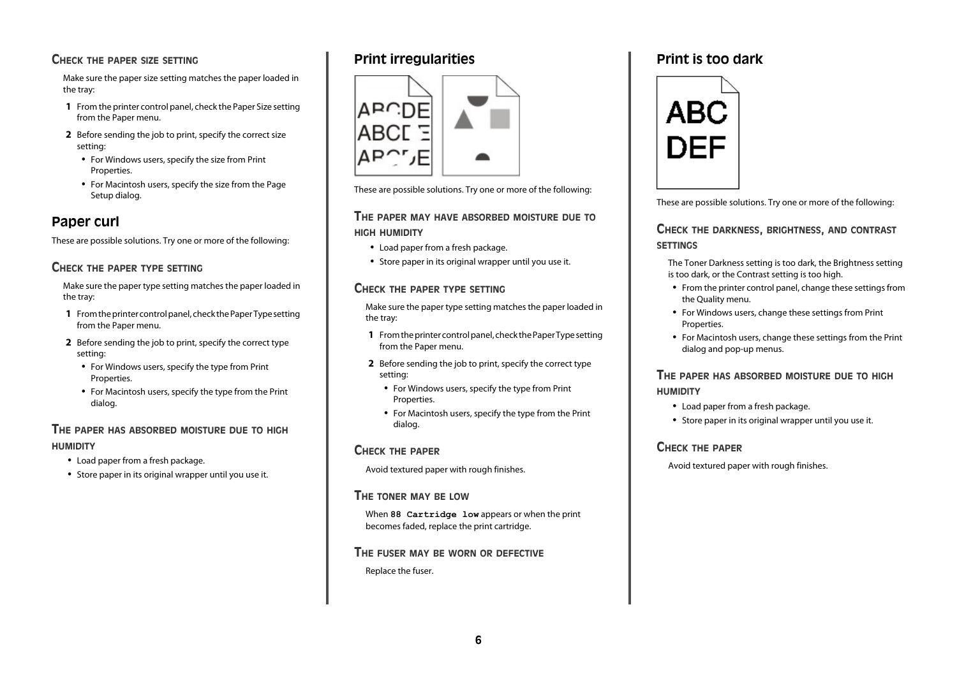#### **CHECK THE PAPER SIZE SETTING**

Make sure the paper size setting matches the paper loaded in the tray:

- **1** From the printer control panel, check the Paper Size setting from the Paper menu.
- **2** Before sending the job to print, specify the correct size setting:
	- **•** For Windows users, specify the size from Print Properties.
	- **•** For Macintosh users, specify the size from the Page Setup dialog.

# **Paper curl**

These are possible solutions. Try one or more of the following:

#### **CHECK THE PAPER TYPE SETTING**

Make sure the paper type setting matches the paper loaded in the tray:

- **1** From the printer control panel, check the Paper Type setting from the Paper menu.
- **2** Before sending the job to print, specify the correct type setting:
	- **•** For Windows users, specify the type from Print Properties.
	- **•** For Macintosh users, specify the type from the Print dialog.

#### **THE PAPER HAS ABSORBED MOISTURE DUE TO HIGH HUMIDITY**

- **•** Load paper from a fresh package.
- **•** Store paper in its original wrapper until you use it.

# **Print irregularities**



These are possible solutions. Try one or more of the following:

#### **THE PAPER MAY HAVE ABSORBED MOISTURE DUE TO HIGH HUMIDITY**

- **•** Load paper from a fresh package.
- **•** Store paper in its original wrapper until you use it.

#### **CHECK THE PAPER TYPE SETTING**

Make sure the paper type setting matches the paper loaded in the tray:

- **1** From the printer control panel, check the Paper Type setting from the Paper menu.
- **2** Before sending the job to print, specify the correct type setting:
	- **•** For Windows users, specify the type from Print Properties.
	- **•** For Macintosh users, specify the type from the Print dialog.

#### **CHECK THE PAPER**

Avoid textured paper with rough finishes.

#### **THE TONER MAY BE LOW**

When **88 Cartridge low** appears or when the print becomes faded, replace the print cartridge.

#### **THE FUSER MAY BE WORN OR DEFECTIVE**

Replace the fuser.

#### **Print is too dark**



These are possible solutions. Try one or more of the following:

#### **CHECK THE DARKNESS, BRIGHTNESS, AND CONTRAST SETTINGS**

The Toner Darkness setting is too dark, the Brightness setting is too dark, or the Contrast setting is too high.

- **•** From the printer control panel, change these settings from the Quality menu.
- **•** For Windows users, change these settings from Print Properties.
- **•** For Macintosh users, change these settings from the Print dialog and pop-up menus.

#### **THE PAPER HAS ABSORBED MOISTURE DUE TO HIGH HUMIDITY**

- **•** Load paper from a fresh package.
- **•** Store paper in its original wrapper until you use it.

#### **CHECK THE PAPER**

Avoid textured paper with rough finishes.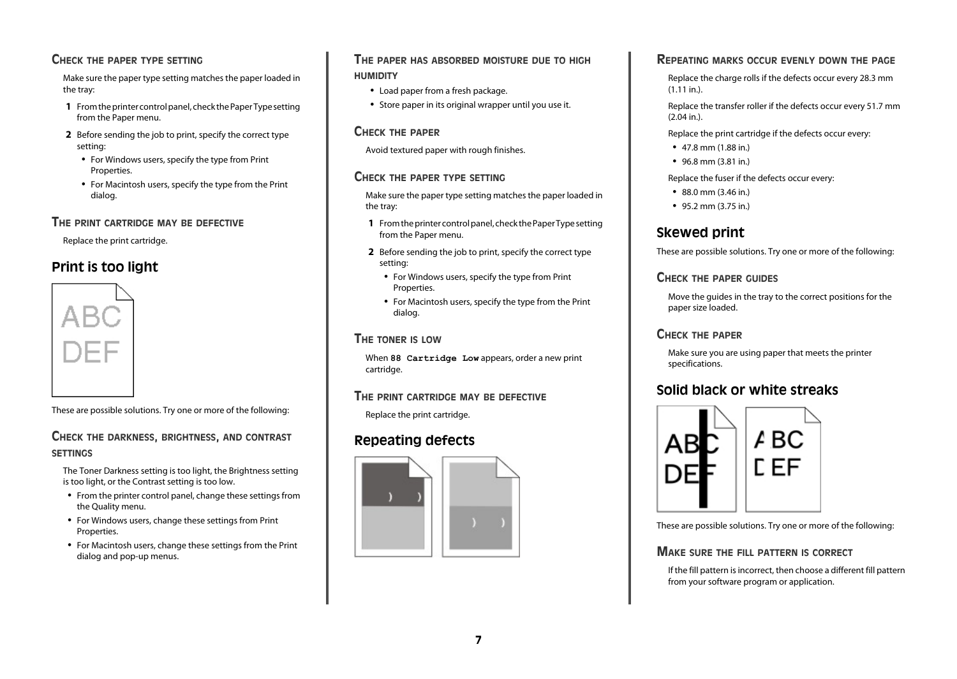#### **CHECK THE PAPER TYPE SETTING**

Make sure the paper type setting matches the paper loaded in the tray:

- **1** From the printer control panel, check the Paper Type setting from the Paper menu.
- **2** Before sending the job to print, specify the correct type setting:
	- **•** For Windows users, specify the type from Print Properties.
	- **•** For Macintosh users, specify the type from the Print dialog.

#### **THE PRINT CARTRIDGE MAY BE DEFECTIVE**

Replace the print cartridge.

# **Print is too light**



These are possible solutions. Try one or more of the following:

#### **CHECK THE DARKNESS, BRIGHTNESS, AND CONTRAST SETTINGS**

The Toner Darkness setting is too light, the Brightness setting is too light, or the Contrast setting is too low.

- **•** From the printer control panel, change these settings from the Quality menu.
- **•** For Windows users, change these settings from Print Properties.
- **•** For Macintosh users, change these settings from the Print dialog and pop-up menus.

#### **THE PAPER HAS ABSORBED MOISTURE DUE TO HIGH HUMIDITY**

- **•** Load paper from a fresh package.
- **•** Store paper in its original wrapper until you use it.

#### **CHECK THE PAPER**

Avoid textured paper with rough finishes.

#### **CHECK THE PAPER TYPE SETTING**

Make sure the paper type setting matches the paper loaded in the tray:

- **1** From the printer control panel, check the Paper Type setting from the Paper menu.
- **2** Before sending the job to print, specify the correct type setting:
	- **•** For Windows users, specify the type from Print Properties.
	- **•** For Macintosh users, specify the type from the Print dialog.

#### **THE TONER IS LOW**

When 88 Cartridge Low appears, order a new print cartridge.

#### **THE PRINT CARTRIDGE MAY BE DEFECTIVE**

Replace the print cartridge.

# **Repeating defects**



#### **REPEATING MARKS OCCUR EVENLY DOWN THE PAGE**

Replace the charge rolls if the defects occur every 28.3 mm  $(1.11 in.).$ 

Replace the transfer roller if the defects occur every 51.7 mm (2.04 in.).

Replace the print cartridge if the defects occur every:

- **•** 47.8 mm (1.88 in.)
- **•** 96.8 mm (3.81 in.)

#### Replace the fuser if the defects occur every:

- **•** 88.0 mm (3.46 in.)
- **•** 95.2 mm (3.75 in.)

# **Skewed print**

These are possible solutions. Try one or more of the following:

#### **CHECK THE PAPER GUIDES**

Move the guides in the tray to the correct positions for the paper size loaded.

#### **CHECK THE PAPER**

Make sure you are using paper that meets the printer specifications.

# **Solid black or white streaks**



These are possible solutions. Try one or more of the following:

#### **MAKE SURE THE FILL PATTERN IS CORRECT**

If the fill pattern is incorrect, then choose a different fill pattern from your software program or application.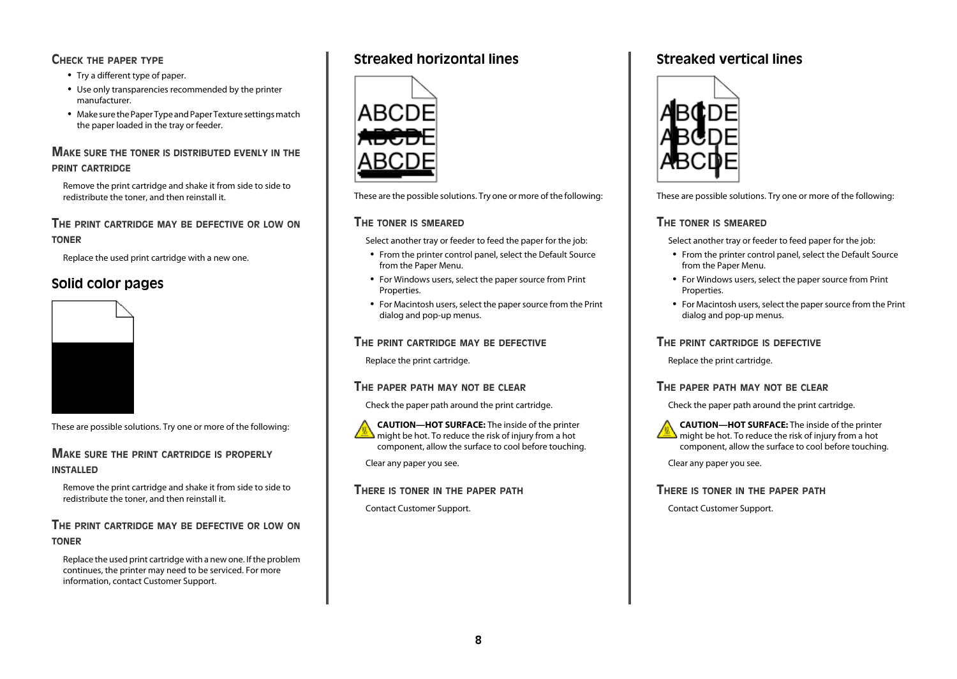#### **CHECK THE PAPER TYPE**

- **•** Try a different type of paper.
- **•** Use only transparencies recommended by the printer manufacturer.
- **•** Make sure the Paper Type and Paper Texture settings match the paper loaded in the tray or feeder.

#### **MAKE SURE THE TONER IS DISTRIBUTED EVENLY IN THE PRINT CARTRIDGE**

Remove the print cartridge and shake it from side to side to redistribute the toner, and then reinstall it.

#### **THE PRINT CARTRIDGE MAY BE DEFECTIVE OR LOW ON TONER**

Replace the used print cartridge with a new one.

# **Solid color pages**



These are possible solutions. Try one or more of the following:

#### **MAKE SURE THE PRINT CARTRIDGE IS PROPERLY INSTALLED**

Remove the print cartridge and shake it from side to side to redistribute the toner, and then reinstall it.

#### **THE PRINT CARTRIDGE MAY BE DEFECTIVE OR LOW ON TONER**

Replace the used print cartridge with a new one. If the problem continues, the printer may need to be serviced. For more information, contact Customer Support.

# **Streaked horizontal lines**



These are the possible solutions. Try one or more of the following:

#### **THE TONER IS SMEARED**

Select another tray or feeder to feed the paper for the job:

- **•** From the printer control panel, select the Default Source from the Paper Menu.
- **•** For Windows users, select the paper source from Print Properties.
- **•** For Macintosh users, select the paper source from the Print dialog and pop-up menus.

#### **THE PRINT CARTRIDGE MAY BE DEFECTIVE**

Replace the print cartridge.

#### **THE PAPER PATH MAY NOT BE CLEAR**

Check the paper path around the print cartridge.

**CAUTION—HOT SURFACE:** The inside of the printer  $\mathbb{L}$  might be hot. To reduce the risk of injury from a hot component, allow the surface to cool before touching.

Clear any paper you see.

#### **THERE IS TONER IN THE PAPER PATH**

Contact Customer Support.

# **Streaked vertical lines**



These are possible solutions. Try one or more of the following:

#### **THE TONER IS SMEARED**

Select another tray or feeder to feed paper for the job:

- **•** From the printer control panel, select the Default Source from the Paper Menu.
- **•** For Windows users, select the paper source from Print Properties.
- **•** For Macintosh users, select the paper source from the Print dialog and pop-up menus.

#### **THE PRINT CARTRIDGE IS DEFECTIVE**

Replace the print cartridge.

#### **THE PAPER PATH MAY NOT BE CLEAR**

Check the paper path around the print cartridge.

**CAUTION—HOT SURFACE:** The inside of the printer  $\frac{m}{2}$  might be hot. To reduce the risk of injury from a hot component, allow the surface to cool before touching.

Clear any paper you see.

#### **THERE IS TONER IN THE PAPER PATH**

Contact Customer Support.